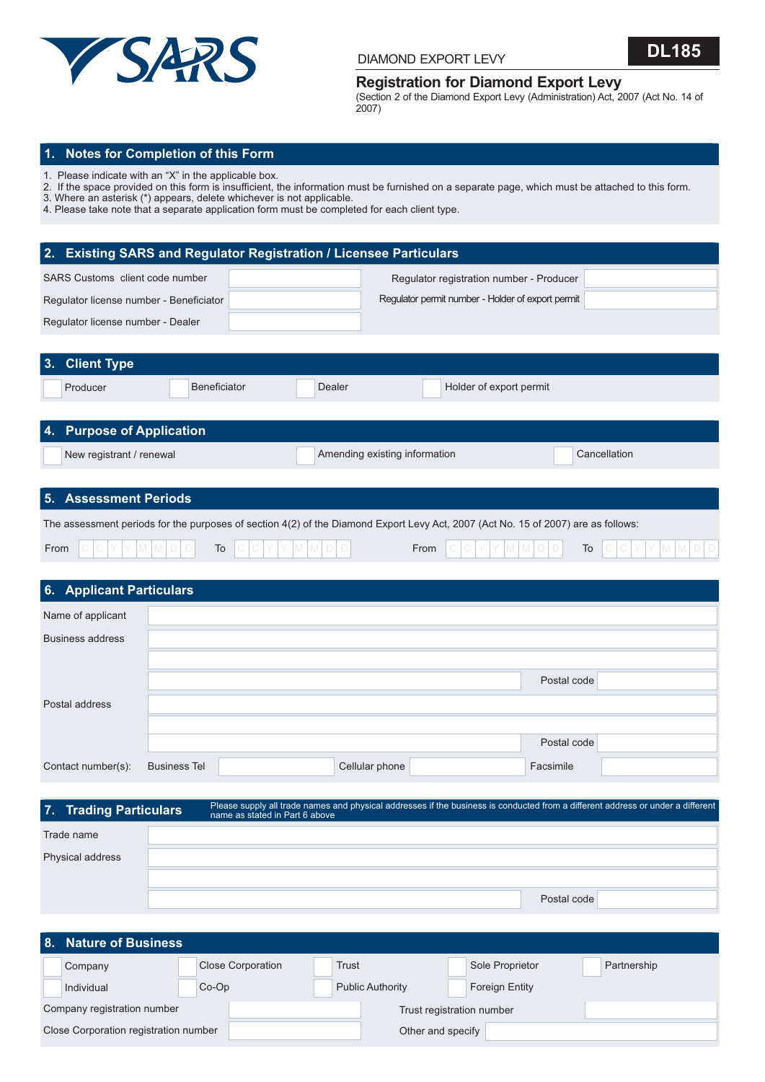



### **Registration for Diamond Export Levy**

(Section 2 of the Diamond Export Levy (Administration) Act, 2007 (Act No. 14 of 2007)

### **1. Notes for Completion of this Form**

1. Please indicate with an "X" in the applicable box.

- 2. If the space provided on this form is insufficient, the information must be furnished on a separate page, which must be attached to this form.
- 3. Where an asterisk (\*) appears, delete whichever is not applicable.
- 4. Please take note that a separate application form must be completed for each client type.

### **2. Existing SARS and Regulator Registration / Licensee Particulars**

| SARS Customs client code number         | Regulator registration number - Producer          |  |
|-----------------------------------------|---------------------------------------------------|--|
| Regulator license number - Beneficiator | Regulator permit number - Holder of export permit |  |
| Regulator license number - Dealer       |                                                   |  |

| 3. Client Type            |              |        |                               |              |  |
|---------------------------|--------------|--------|-------------------------------|--------------|--|
| Producer                  | Beneficiator | Dealer | Holder of export permit       |              |  |
|                           |              |        |                               |              |  |
| 4. Purpose of Application |              |        |                               |              |  |
| New registrant / renewal  |              |        | Amending existing information | Cancellation |  |

## **5. Assessment Periods**

The assessment periods for the purposes of section 4(2) of the Diamond Export Levy Act, 2007 (Act No. 15 of 2007) are as follows:

| From |  |  | $\overline{\phantom{a}}$ |  |  |  | From |  |  |  | $\sim$        |  |  |  |  |
|------|--|--|--------------------------|--|--|--|------|--|--|--|---------------|--|--|--|--|
|      |  |  | 10.<br>-----             |  |  |  |      |  |  |  | $\sim$<br>___ |  |  |  |  |

| 6. Applicant Particulars |                     |                |             |  |
|--------------------------|---------------------|----------------|-------------|--|
| Name of applicant        |                     |                |             |  |
| <b>Business address</b>  |                     |                |             |  |
|                          |                     |                |             |  |
|                          |                     |                | Postal code |  |
| Postal address           |                     |                |             |  |
|                          |                     |                |             |  |
|                          |                     |                | Postal code |  |
| Contact number(s):       | <b>Business Tel</b> | Cellular phone | Facsimile   |  |

| 7. Trading Particulars | Please supply all trade names and physical addresses if the business is conducted from a different address or under a different<br>name as stated in Part 6 above |             |
|------------------------|-------------------------------------------------------------------------------------------------------------------------------------------------------------------|-------------|
| Trade name             |                                                                                                                                                                   |             |
| Physical address       |                                                                                                                                                                   |             |
|                        |                                                                                                                                                                   |             |
|                        |                                                                                                                                                                   | Postal code |

| l 8.                                  | <b>Nature of Business</b> |                          |                           |                         |                       |             |
|---------------------------------------|---------------------------|--------------------------|---------------------------|-------------------------|-----------------------|-------------|
|                                       | Company                   | <b>Close Corporation</b> |                           | Trust                   | Sole Proprietor       | Partnership |
|                                       | Individual                | $Co-Op$                  |                           | <b>Public Authority</b> | <b>Foreign Entity</b> |             |
| Company registration number           |                           |                          | Trust registration number |                         |                       |             |
| Close Corporation registration number |                           |                          |                           | Other and specify       |                       |             |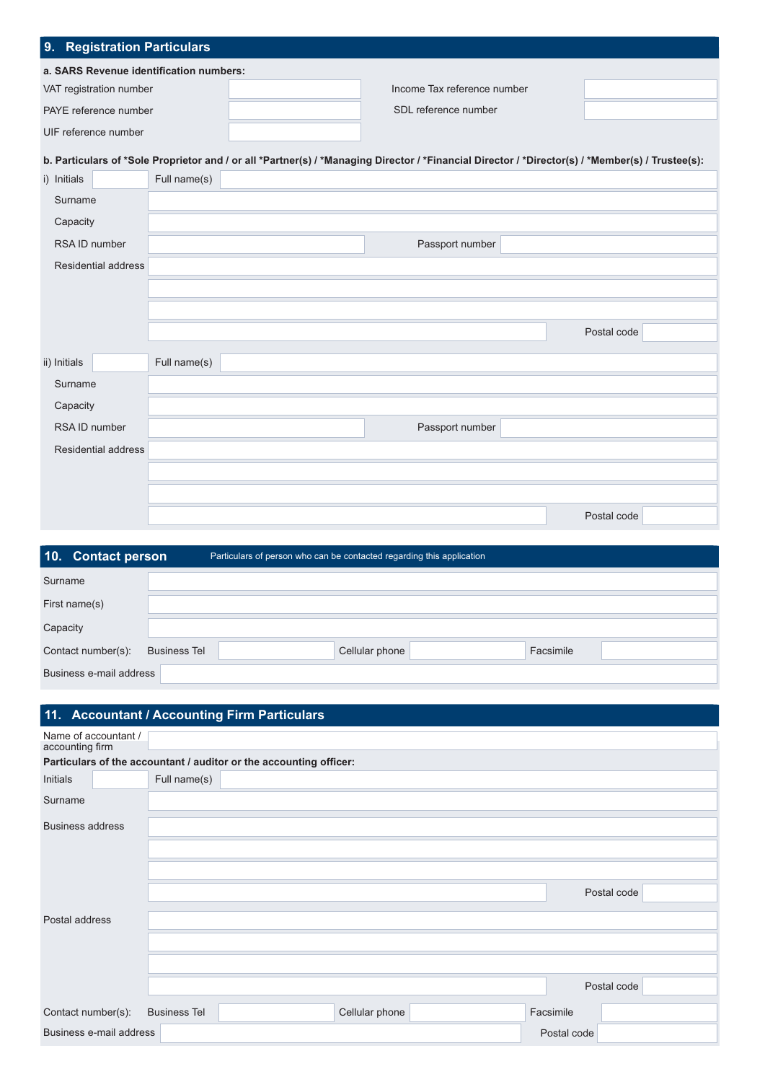| 9. Registration Particulars             |  |                             |  |  |  |  |  |  |
|-----------------------------------------|--|-----------------------------|--|--|--|--|--|--|
| a. SARS Revenue identification numbers: |  |                             |  |  |  |  |  |  |
| VAT registration number                 |  | Income Tax reference number |  |  |  |  |  |  |
| PAYE reference number                   |  | SDL reference number        |  |  |  |  |  |  |
| UIF reference number                    |  |                             |  |  |  |  |  |  |
|                                         |  |                             |  |  |  |  |  |  |

# **b. Particulars of \*Sole Proprietor and / or all \*Partner(s) / \*Managing Director / \*Financial Director / \*Director(s) / \*Member(s) / Trustee(s):**

| i) Initials         | Full name(s) |                 |             |
|---------------------|--------------|-----------------|-------------|
| Surname             |              |                 |             |
| Capacity            |              |                 |             |
| RSA ID number       |              | Passport number |             |
| Residential address |              |                 |             |
|                     |              |                 |             |
|                     |              |                 |             |
|                     |              |                 | Postal code |
|                     |              |                 |             |
| ii) Initials        | Full name(s) |                 |             |
| Surname             |              |                 |             |
| Capacity            |              |                 |             |
| RSA ID number       |              | Passport number |             |
| Residential address |              |                 |             |
|                     |              |                 |             |
|                     |              |                 |             |
|                     |              |                 | Postal code |

| 10. Contact person      |                     | Particulars of person who can be contacted regarding this application |
|-------------------------|---------------------|-----------------------------------------------------------------------|
| Surname                 |                     |                                                                       |
| First name(s)           |                     |                                                                       |
| Capacity                |                     |                                                                       |
| Contact number(s):      | <b>Business Tel</b> | Facsimile<br>Cellular phone                                           |
| Business e-mail address |                     |                                                                       |

| 11. Accountant / Accounting Firm Particulars                       |                     |  |                |  |             |             |  |  |
|--------------------------------------------------------------------|---------------------|--|----------------|--|-------------|-------------|--|--|
| Name of accountant /<br>accounting firm                            |                     |  |                |  |             |             |  |  |
| Particulars of the accountant / auditor or the accounting officer: |                     |  |                |  |             |             |  |  |
| Initials                                                           | Full name(s)        |  |                |  |             |             |  |  |
| Surname                                                            |                     |  |                |  |             |             |  |  |
| <b>Business address</b>                                            |                     |  |                |  |             |             |  |  |
|                                                                    |                     |  |                |  |             |             |  |  |
|                                                                    |                     |  |                |  |             |             |  |  |
|                                                                    |                     |  |                |  |             | Postal code |  |  |
| Postal address                                                     |                     |  |                |  |             |             |  |  |
|                                                                    |                     |  |                |  |             |             |  |  |
|                                                                    |                     |  |                |  |             |             |  |  |
|                                                                    |                     |  |                |  |             | Postal code |  |  |
| Contact number(s):                                                 | <b>Business Tel</b> |  | Cellular phone |  | Facsimile   |             |  |  |
| Business e-mail address                                            |                     |  |                |  | Postal code |             |  |  |